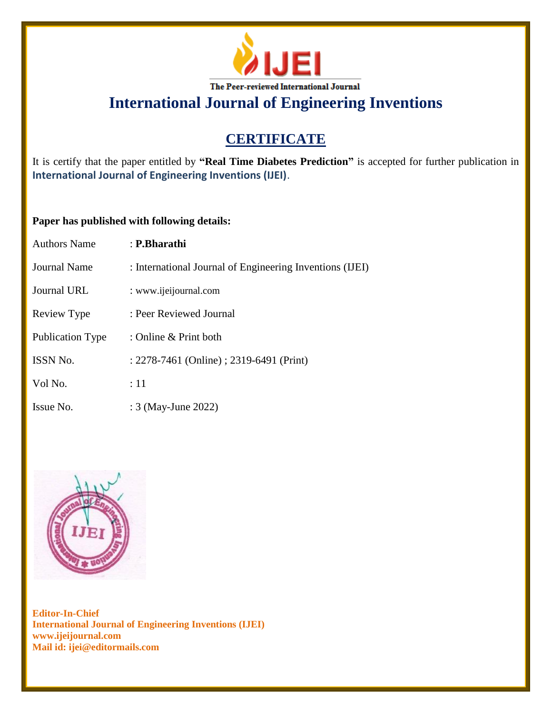

# **CERTIFICATE**

It is certify that the paper entitled by **"Real Time Diabetes Prediction"** is accepted for further publication in **International Journal of Engineering Inventions (IJEI)**.

### **Paper has published with following details:**

| <b>Authors Name</b>     | : P.Bharathi                                             |
|-------------------------|----------------------------------------------------------|
| Journal Name            | : International Journal of Engineering Inventions (IJEI) |
| Journal URL             | : www.ijeijournal.com                                    |
| Review Type             | : Peer Reviewed Journal                                  |
| <b>Publication Type</b> | : Online & Print both                                    |
| <b>ISSN No.</b>         | : 2278-7461 (Online) ; 2319-6491 (Print)                 |
| Vol No.                 | :11                                                      |
| Issue No.               | : 3 (May-June 2022)                                      |

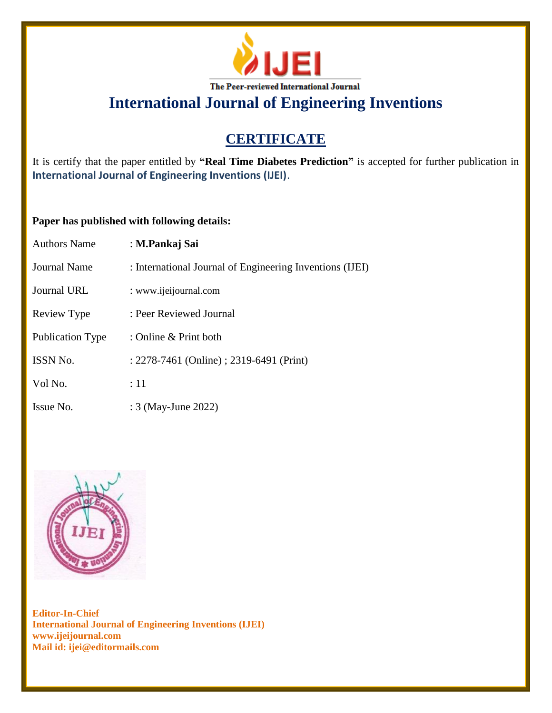

# **CERTIFICATE**

It is certify that the paper entitled by **"Real Time Diabetes Prediction"** is accepted for further publication in **International Journal of Engineering Inventions (IJEI)**.

### **Paper has published with following details:**

| <b>Authors Name</b>     | : M.Pankaj Sai                                           |
|-------------------------|----------------------------------------------------------|
| <b>Journal Name</b>     | : International Journal of Engineering Inventions (IJEI) |
| Journal URL             | : www.ijeijournal.com                                    |
| Review Type             | : Peer Reviewed Journal                                  |
| <b>Publication Type</b> | : Online & Print both                                    |
| <b>ISSN No.</b>         | : 2278-7461 (Online) ; 2319-6491 (Print)                 |
| Vol No.                 | :11                                                      |
| Issue No.               | : 3 (May-June 2022)                                      |

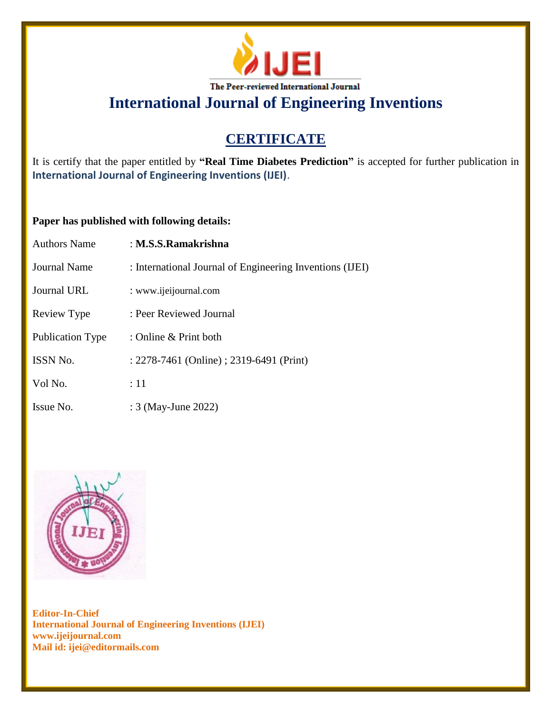

# **CERTIFICATE**

It is certify that the paper entitled by **"Real Time Diabetes Prediction"** is accepted for further publication in **International Journal of Engineering Inventions (IJEI)**.

### **Paper has published with following details:**

| <b>Authors Name</b>     | : M.S.S.Ramakrishna                                      |
|-------------------------|----------------------------------------------------------|
| Journal Name            | : International Journal of Engineering Inventions (IJEI) |
| <b>Journal URL</b>      | : www.ijeijournal.com                                    |
| Review Type             | : Peer Reviewed Journal                                  |
| <b>Publication Type</b> | : Online $&$ Print both                                  |
| <b>ISSN No.</b>         | : 2278-7461 (Online) ; 2319-6491 (Print)                 |
| Vol No.                 | :11                                                      |
| Issue No.               | : 3 (May-June 2022)                                      |

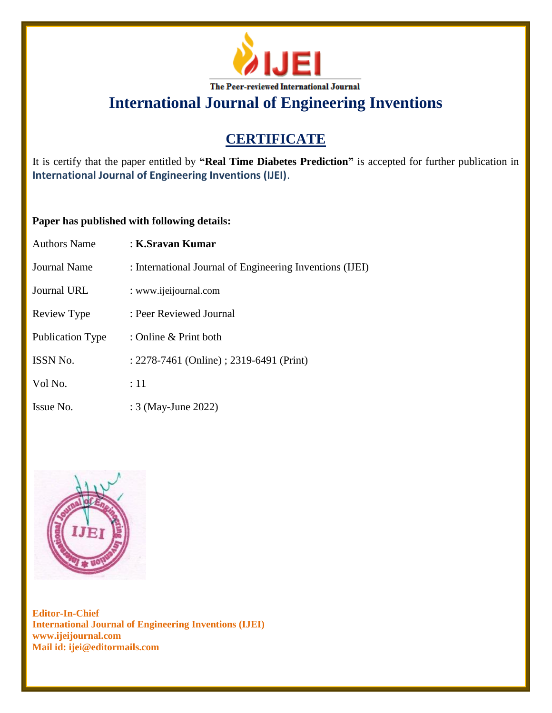

# **CERTIFICATE**

It is certify that the paper entitled by **"Real Time Diabetes Prediction"** is accepted for further publication in **International Journal of Engineering Inventions (IJEI)**.

### **Paper has published with following details:**

| <b>Authors Name</b>     | : K.Sravan Kumar                                         |
|-------------------------|----------------------------------------------------------|
| Journal Name            | : International Journal of Engineering Inventions (IJEI) |
| Journal URL             | : www.ijeijournal.com                                    |
| Review Type             | : Peer Reviewed Journal                                  |
| <b>Publication Type</b> | : Online $&$ Print both                                  |
| ISSN No.                | : 2278-7461 (Online) ; 2319-6491 (Print)                 |
| Vol No.                 | :11                                                      |
| Issue No.               | : 3 (May-June 2022)                                      |

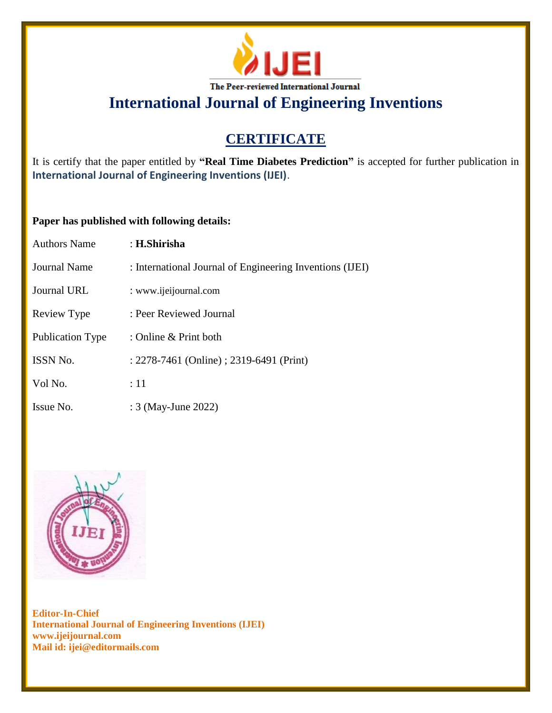

# **CERTIFICATE**

It is certify that the paper entitled by **"Real Time Diabetes Prediction"** is accepted for further publication in **International Journal of Engineering Inventions (IJEI)**.

### **Paper has published with following details:**

| Authors Name        | : H.Shirisha                                             |
|---------------------|----------------------------------------------------------|
| <b>Journal Name</b> | : International Journal of Engineering Inventions (IJEI) |
| Journal URL         | : www.ijeijournal.com                                    |
| Review Type         | : Peer Reviewed Journal                                  |
| Publication Type    | : Online & Print both                                    |
| ISSN No.            | : 2278-7461 (Online) ; 2319-6491 (Print)                 |
| Vol No.             | :11                                                      |
| Issue No.           | : 3 (May-June 2022)                                      |